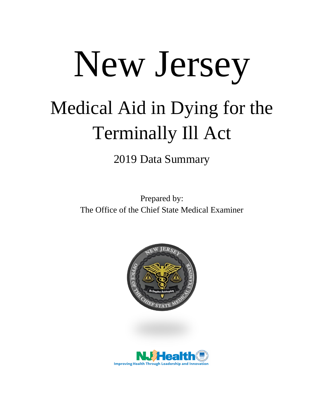## New Jersey Medical Aid in Dying for the Terminally Ill Act

2019 Data Summary

Prepared by: The Office of the Chief State Medical Examiner



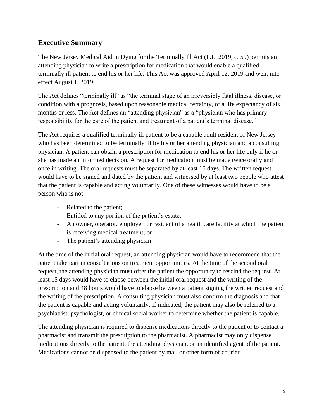## **Executive Summary**

The New Jersey Medical Aid in Dying for the Terminally Ill Act (P.L. 2019, c. 59) permits an attending physician to write a prescription for medication that would enable a qualified terminally ill patient to end his or her life. This Act was approved April 12, 2019 and went into effect August 1, 2019.

The Act defines "terminally ill" as "the terminal stage of an irreversibly fatal illness, disease, or condition with a prognosis, based upon reasonable medical certainty, of a life expectancy of six months or less. The Act defines an "attending physician" as a "physician who has primary responsibility for the care of the patient and treatment of a patient's terminal disease."

The Act requires a qualified terminally ill patient to be a capable adult resident of New Jersey who has been determined to be terminally ill by his or her attending physician and a consulting physician. A patient can obtain a prescription for medication to end his or her life only if he or she has made an informed decision. A request for medication must be made twice orally and once in writing. The oral requests must be separated by at least 15 days. The written request would have to be signed and dated by the patient and witnessed by at least two people who attest that the patient is capable and acting voluntarily. One of these witnesses would have to be a person who is not:

- Related to the patient;
- Entitled to any portion of the patient's estate;
- An owner, operator, employer, or resident of a health care facility at which the patient is receiving medical treatment; or
- The patient's attending physician

At the time of the initial oral request, an attending physician would have to recommend that the patient take part in consultations on treatment opportunities. At the time of the second oral request, the attending physician must offer the patient the opportunity to rescind the request. At least 15 days would have to elapse between the initial oral request and the writing of the prescription and 48 hours would have to elapse between a patient signing the written request and the writing of the prescription. A consulting physician must also confirm the diagnosis and that the patient is capable and acting voluntarily. If indicated, the patient may also be referred to a psychiatrist, psychologist, or clinical social worker to determine whether the patient is capable.

The attending physician is required to dispense medications directly to the patient or to contact a pharmacist and transmit the prescription to the pharmacist. A pharmacist may only dispense medications directly to the patient, the attending physician, or an identified agent of the patient. Medications cannot be dispensed to the patient by mail or other form of courier.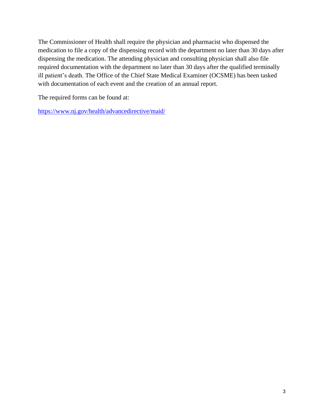The Commissioner of Health shall require the physician and pharmacist who dispensed the medication to file a copy of the dispensing record with the department no later than 30 days after dispensing the medication. The attending physician and consulting physician shall also file required documentation with the department no later than 30 days after the qualified terminally ill patient's death. The Office of the Chief State Medical Examiner (OCSME) has been tasked with documentation of each event and the creation of an annual report.

The required forms can be found at:

<https://www.nj.gov/health/advancedirective/maid/>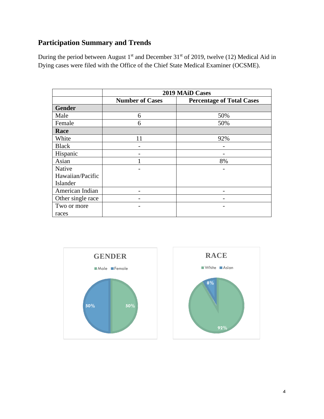## **Participation Summary and Trends**

During the period between August  $1<sup>st</sup>$  and December 31 $<sup>st</sup>$  of 2019, twelve (12) Medical Aid in</sup> Dying cases were filed with the Office of the Chief State Medical Examiner (OCSME).

|                   | 2019 MAiD Cases        |                                  |
|-------------------|------------------------|----------------------------------|
|                   | <b>Number of Cases</b> | <b>Percentage of Total Cases</b> |
| <b>Gender</b>     |                        |                                  |
| Male              | 6                      | 50%                              |
| Female            | 6                      | 50%                              |
| Race              |                        |                                  |
| White             | 11                     | 92%                              |
| <b>Black</b>      |                        |                                  |
| Hispanic          |                        |                                  |
| Asian             |                        | 8%                               |
| Native            |                        |                                  |
| Hawaiian/Pacific  |                        |                                  |
| Islander          |                        |                                  |
| American Indian   |                        |                                  |
| Other single race |                        |                                  |
| Two or more       |                        |                                  |
| races             |                        |                                  |



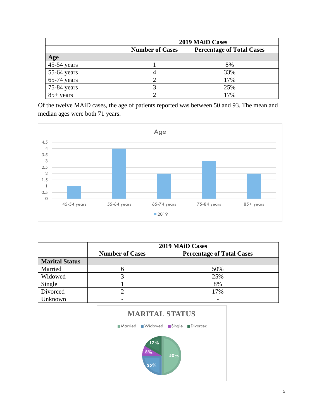|               | <b>2019 MAID Cases</b> |                                  |
|---------------|------------------------|----------------------------------|
|               | <b>Number of Cases</b> | <b>Percentage of Total Cases</b> |
| Age           |                        |                                  |
| $45-54$ years |                        | 8%                               |
| $55-64$ years |                        | 33%                              |
| $65-74$ years |                        | 17%                              |
| 75-84 years   |                        | 25%                              |
| $85+$ years   |                        | 17%                              |

Of the twelve MAiD cases, the age of patients reported was between 50 and 93. The mean and median ages were both 71 years.



|                       | <b>2019 MAID Cases</b> |                                  |
|-----------------------|------------------------|----------------------------------|
|                       | <b>Number of Cases</b> | <b>Percentage of Total Cases</b> |
| <b>Marital Status</b> |                        |                                  |
| Married               |                        | 50%                              |
| Widowed               |                        | 25%                              |
| Single                |                        | 8%                               |
| Divorced              |                        | 17%                              |
| Jnknown               |                        |                                  |

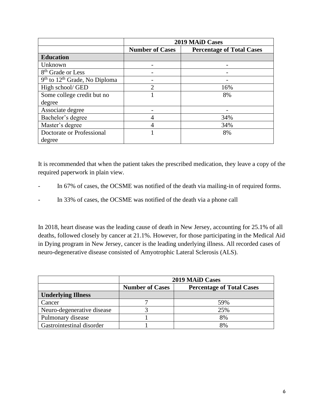|                                   | 2019 MAID Cases        |                                  |
|-----------------------------------|------------------------|----------------------------------|
|                                   | <b>Number of Cases</b> | <b>Percentage of Total Cases</b> |
| <b>Education</b>                  |                        |                                  |
| Unknown                           |                        |                                  |
| 8 <sup>th</sup> Grade or Less     |                        |                                  |
| $9th$ to $12th$ Grade, No Diploma |                        |                                  |
| High school/ GED                  | $\mathfrak{D}$         | 16%                              |
| Some college credit but no        |                        | 8%                               |
| degree                            |                        |                                  |
| Associate degree                  |                        |                                  |
| Bachelor's degree                 | 4                      | 34%                              |
| Master's degree                   | 4                      | 34%                              |
| Doctorate or Professional         |                        | 8%                               |
| degree                            |                        |                                  |

It is recommended that when the patient takes the prescribed medication, they leave a copy of the required paperwork in plain view.

- In 67% of cases, the OCSME was notified of the death via mailing-in of required forms.
- In 33% of cases, the OCSME was notified of the death via a phone call

In 2018, heart disease was the leading cause of death in New Jersey, accounting for 25.1% of all deaths, followed closely by cancer at 21.1%. However, for those participating in the Medical Aid in Dying program in New Jersey, cancer is the leading underlying illness. All recorded cases of neuro-degenerative disease consisted of Amyotrophic Lateral Sclerosis (ALS).

|                            | <b>2019 MAID Cases</b> |                                  |
|----------------------------|------------------------|----------------------------------|
|                            | <b>Number of Cases</b> | <b>Percentage of Total Cases</b> |
| <b>Underlying Illness</b>  |                        |                                  |
| Cancer                     |                        | 59%                              |
| Neuro-degenerative disease |                        | 25%                              |
| Pulmonary disease          |                        | 8%                               |
| Gastrointestinal disorder  |                        | 8%                               |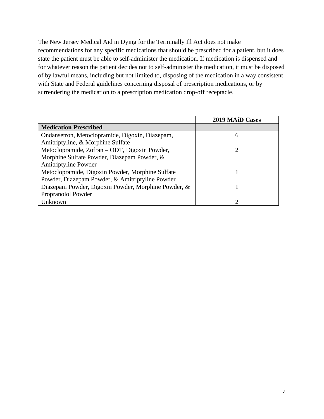The New Jersey Medical Aid in Dying for the Terminally Ill Act does not make recommendations for any specific medications that should be prescribed for a patient, but it does state the patient must be able to self-administer the medication. If medication is dispensed and for whatever reason the patient decides not to self-administer the medication, it must be disposed of by lawful means, including but not limited to, disposing of the medication in a way consistent with State and Federal guidelines concerning disposal of prescription medications, or by surrendering the medication to a prescription medication drop-off receptacle.

|                                                     | <b>2019 MAID Cases</b> |
|-----------------------------------------------------|------------------------|
| <b>Medication Prescribed</b>                        |                        |
| Ondansetron, Metoclopramide, Digoxin, Diazepam,     | 6                      |
| Amitriptyline, & Morphine Sulfate                   |                        |
| Metoclopramide, Zofran - ODT, Digoxin Powder,       | റ                      |
| Morphine Sulfate Powder, Diazepam Powder, &         |                        |
| Amitriptyline Powder                                |                        |
| Metoclopramide, Digoxin Powder, Morphine Sulfate    |                        |
| Powder, Diazepam Powder, & Amitriptyline Powder     |                        |
| Diazepam Powder, Digoxin Powder, Morphine Powder, & |                        |
| Propranolol Powder                                  |                        |
| Unknown                                             |                        |